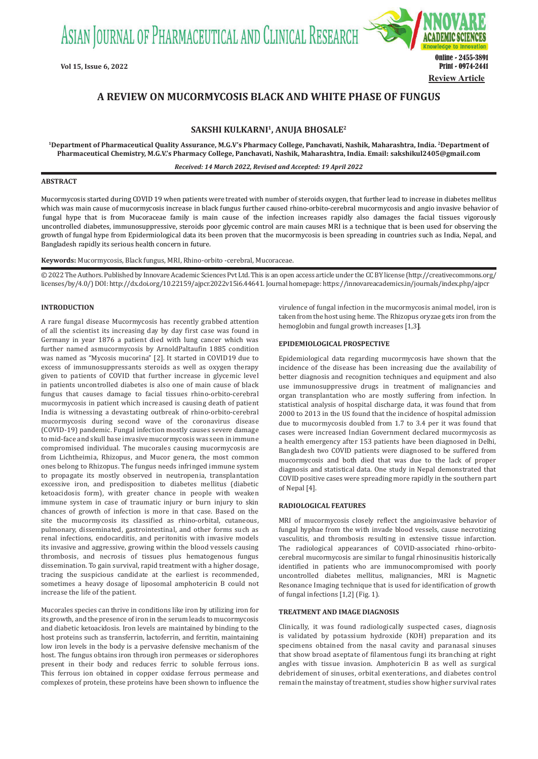ASIAN JOURNAL OF PHARMACEUTICAL AND CLINICAL RESEARCH



# **A REVIEW ON MUCORMYCOSIS BLACK AND WHITE PHASE OF FUNGUS**

## **SAKSHI KULKARNI1, ANUJA BHOSALE2**

**1Department of Pharmaceutical Quality Assurance, M.G.V's Pharmacy College, Panchavati, Nashik, Maharashtra, India. 2Department of Pharmaceutical Chemistry, M.G.V.'s Pharmacy College, Panchavati, Nashik, Maharashtra, India. Email:  sakshikul2405@gmail.com**

*Received: 14 March 2022, Revised and Accepted: 19 April 2022*

#### **ABSTRACT**

Mucormycosis started during COVID 19 when patients were treated with number of steroids oxygen, that further lead to increase in diabetes mellitus which was main cause of mucormycosis increase in black fungus further caused rhino-orbito-cerebral mucormycosis and angio invasive behavior of fungal hype that is from Mucoraceae family is main cause of the infection increases rapidly also damages the facial tissues vigorously uncontrolled diabetes, immunosuppressive, steroids poor glycemic control are main causes MRI is a technique that is been used for observing the growth of fungal hype from Epidermiological data its been proven that the mucormycosis is been spreading in countries such as India, Nepal, and Bangladesh rapidly its serious health concern in future.

**Keywords:** Mucormycosis, Black fungus, MRI, Rhino-orbito -cerebral, Mucoraceae.

© 2022 The Authors. Published by Innovare Academic Sciences Pvt Ltd. This is an open access article under the CC BY license (http://creativecommons.org/ licenses/by/4.0/) DOI: http://dx.doi.org/10.22159/ajpcr.2022v15i6.44641. Journal homepage: https://innovareacademics.in/journals/index.php/ajpcr

### **INTRODUCTION**

A rare fungal disease Mucormycosis has recently grabbed attention of all the scientist its increasing day by day first case was found in Germany in year 1876 a patient died with lung cancer which was further named asmucormycosis by ArnoldPaltaufin 1885 condition was named as "Mycosis mucorina" [2]. It started in COVID19 due to excess of immunosuppressants steroids as well as oxygen therapy given to patients of COVID that further increase in glycemic level in patients uncontrolled diabetes is also one of main cause of black fungus that causes damage to facial tissues rhino-orbito-cerebral mucormycosis in patient which increased is causing death of patient India is witnessing a devastating outbreak of rhino-orbito-cerebral mucormycosis during second wave of the coronavirus disease (COVID-19) pandemic. Fungal infection mostly causes severe damage to mid-face and skull base invasive mucormycosis was seen in immune compromised individual. The mucorales causing mucormycosis are from Lichtheimia, Rhizopus, and Mucor genera, the most common ones belong to Rhizopus. The fungus needs infringed immune system to propagate its mostly observed in neutropenia, transplantation excessive iron, and predisposition to diabetes mellitus (diabetic ketoacidosis form), with greater chance in people with weaken immune system in case of traumatic injury or burn injury to skin chances of growth of infection is more in that case. Based on the site the mucormycosis its classified as rhino-orbital, cutaneous, pulmonary, disseminated, gastrointestinal, and other forms such as renal infections, endocarditis, and peritonitis with invasive models its invasive and aggressive, growing within the blood vessels causing thrombosis, and necrosis of tissues plus hematogenous fungus dissemination. To gain survival, rapid treatment with a higher dosage, tracing the suspicious candidate at the earliest is recommended, sometimes a heavy dosage of liposomal amphotericin B could not increase the life of the patient.

Mucorales species can thrive in conditions like iron by utilizing iron for its growth, and the presence of iron in the serum leads to mucormycosis and diabetic ketoacidosis. Iron levels are maintained by binding to the host proteins such as transferrin, lactoferrin, and ferritin, maintaining low iron levels in the body is a pervasive defensive mechanism of the host. The fungus obtains iron through iron permeases or siderophores present in their body and reduces ferric to soluble ferrous ions. This ferrous ion obtained in copper oxidase ferrous permease and complexes of protein, these proteins have been shown to influence the virulence of fungal infection in the mucormycosis animal model, iron is taken from the host using heme. The Rhizopus oryzae gets iron from the hemoglobin and fungal growth increases [1,3**]**.

#### **EPIDEMIOLOGICAL PROSPECTIVE**

Epidemiological data regarding mucormycosis have shown that the incidence of the disease has been increasing due the availability of better diagnosis and recognition techniques and equipment and also use immunosuppressive drugs in treatment of malignancies and organ transplantation who are mostly suffering from infection. In statistical analysis of hospital discharge data, it was found that from 2000 to 2013 in the US found that the incidence of hospital admission due to mucormycosis doubled from 1.7 to 3.4 per it was found that cases were increased Indian Government declared mucormycosis as a health emergency after 153 patients have been diagnosed in Delhi, Bangladesh two COVID patients were diagnosed to be suffered from mucormycosis and both died that was due to the lack of proper diagnosis and statistical data. One study in Nepal demonstrated that COVID positive cases were spreading more rapidly in the southern part of Nepal [4].

#### **RADIOLOGICAL FEATURES**

MRI of mucormycosis closely reflect the angioinvasive behavior of fungal hyphae from the with invade blood vessels, cause necrotizing vasculitis, and thrombosis resulting in extensive tissue infarction. The radiological appearances of COVID-associated rhino-orbitocerebral mucormycosis are similar to fungal rhinosinusitis historically identified in patients who are immunocompromised with poorly uncontrolled diabetes mellitus, malignancies, MRI is Magnetic Resonance Imaging technique that is used for identification of growth of fungal infections [1,2] (Fig. 1).

#### **TREATMENT AND IMAGE DIAGNOSIS**

Clinically, it was found radiologically suspected cases, diagnosis is validated by potassium hydroxide (KOH) preparation and its specimens obtained from the nasal cavity and paranasal sinuses that show broad aseptate of filamentous fungi its branching at right angles with tissue invasion. Amphotericin B as well as surgical debridement of sinuses, orbital exenterations, and diabetes control remain the mainstay of treatment, studies show higher survival rates